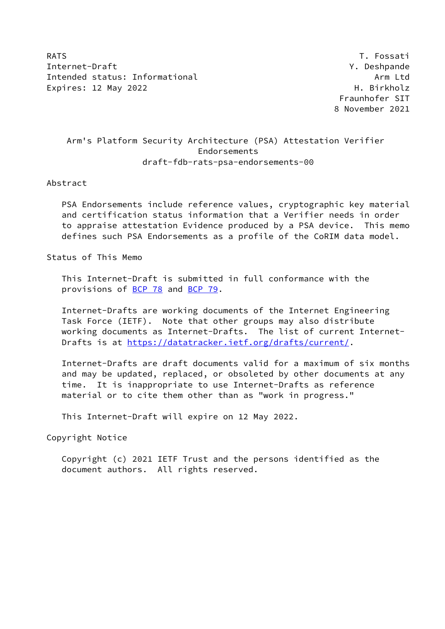RATS **T. Fossati** Internet-Draft Y. Deshpande Intended status: Informational Arm Ltd Expires: 12 May 2022 **H. Birkholz** 

 Fraunhofer SIT 8 November 2021

# Arm's Platform Security Architecture (PSA) Attestation Verifier Endorsements draft-fdb-rats-psa-endorsements-00

Abstract

 PSA Endorsements include reference values, cryptographic key material and certification status information that a Verifier needs in order to appraise attestation Evidence produced by a PSA device. This memo defines such PSA Endorsements as a profile of the CoRIM data model.

Status of This Memo

 This Internet-Draft is submitted in full conformance with the provisions of [BCP 78](https://datatracker.ietf.org/doc/pdf/bcp78) and [BCP 79](https://datatracker.ietf.org/doc/pdf/bcp79).

 Internet-Drafts are working documents of the Internet Engineering Task Force (IETF). Note that other groups may also distribute working documents as Internet-Drafts. The list of current Internet- Drafts is at<https://datatracker.ietf.org/drafts/current/>.

 Internet-Drafts are draft documents valid for a maximum of six months and may be updated, replaced, or obsoleted by other documents at any time. It is inappropriate to use Internet-Drafts as reference material or to cite them other than as "work in progress."

This Internet-Draft will expire on 12 May 2022.

Copyright Notice

 Copyright (c) 2021 IETF Trust and the persons identified as the document authors. All rights reserved.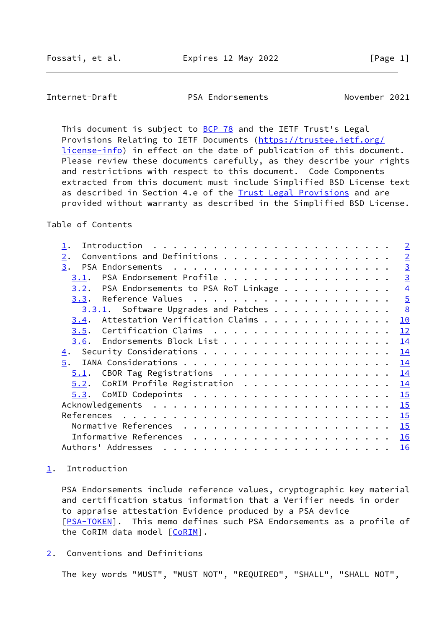<span id="page-1-1"></span>Internet-Draft PSA Endorsements November 2021

This document is subject to **[BCP 78](https://datatracker.ietf.org/doc/pdf/bcp78)** and the IETF Trust's Legal Provisions Relating to IETF Documents ([https://trustee.ietf.org/](https://trustee.ietf.org/license-info) [license-info](https://trustee.ietf.org/license-info)) in effect on the date of publication of this document. Please review these documents carefully, as they describe your rights and restrictions with respect to this document. Code Components extracted from this document must include Simplified BSD License text as described in Section 4.e of the [Trust Legal Provisions](https://trustee.ietf.org/license-info) and are provided without warranty as described in the Simplified BSD License.

## Table of Contents

|            | Introduction                         |  |  |  | $\overline{2}$ |
|------------|--------------------------------------|--|--|--|----------------|
| 2.         | Conventions and Definitions          |  |  |  | $\overline{2}$ |
| 3.         | PSA Endorsements                     |  |  |  | $\overline{3}$ |
| 3.1.       | PSA Endorsement Profile              |  |  |  | $\overline{3}$ |
| 3.2.       | PSA Endorsements to PSA RoT Linkage  |  |  |  | $\overline{4}$ |
| 3.3.       |                                      |  |  |  | $\overline{5}$ |
|            | 3.3.1. Software Upgrades and Patches |  |  |  | 8              |
| 3.4.       | Attestation Verification Claims      |  |  |  | 10             |
| 3.5.       | Certification Claims                 |  |  |  | 12             |
| 3.6.       | Endorsements Block List              |  |  |  | 14             |
| <u>4</u> . |                                      |  |  |  | 14             |
| 5.         |                                      |  |  |  | 14             |
| 5.1.       | CBOR Tag Registrations               |  |  |  | 14             |
| 5.2.       | CoRIM Profile Registration           |  |  |  | 14             |
| 5.3.       |                                      |  |  |  | 15             |
|            |                                      |  |  |  | 15             |
|            |                                      |  |  |  | 15             |
|            |                                      |  |  |  | 15             |
|            |                                      |  |  |  | 16             |
|            | Authors' Addresses                   |  |  |  | 16             |
|            |                                      |  |  |  |                |

#### <span id="page-1-0"></span>[1](#page-1-0). Introduction

 PSA Endorsements include reference values, cryptographic key material and certification status information that a Verifier needs in order to appraise attestation Evidence produced by a PSA device [\[PSA-TOKEN](#page-17-1)]. This memo defines such PSA Endorsements as a profile of the CoRIM data model [CORIM].

# <span id="page-1-2"></span>[2](#page-1-2). Conventions and Definitions

The key words "MUST", "MUST NOT", "REQUIRED", "SHALL", "SHALL NOT",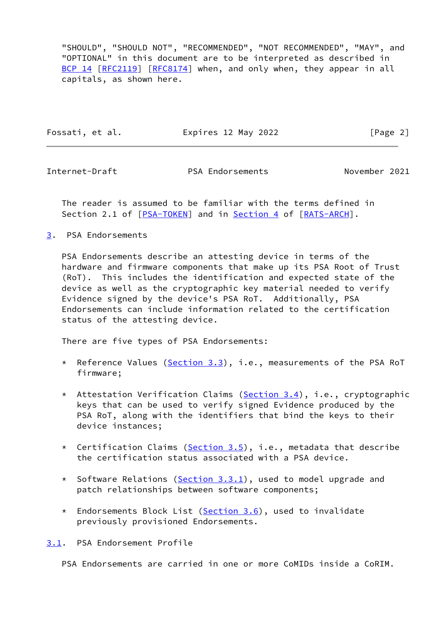"SHOULD", "SHOULD NOT", "RECOMMENDED", "NOT RECOMMENDED", "MAY", and "OPTIONAL" in this document are to be interpreted as described in [BCP 14](https://datatracker.ietf.org/doc/pdf/bcp14) [\[RFC2119](https://datatracker.ietf.org/doc/pdf/rfc2119)] [\[RFC8174](https://datatracker.ietf.org/doc/pdf/rfc8174)] when, and only when, they appear in all capitals, as shown here.

Fossati, et al. Expires 12 May 2022 [Page 2]

<span id="page-2-1"></span>

Internet-Draft PSA Endorsements November 2021

 The reader is assumed to be familiar with the terms defined in Section 2.1 of [\[PSA-TOKEN](#page-17-1)] and in [Section 4](#page-15-0) of [\[RATS-ARCH](#page-17-2)].

<span id="page-2-0"></span>[3](#page-2-0). PSA Endorsements

 PSA Endorsements describe an attesting device in terms of the hardware and firmware components that make up its PSA Root of Trust (RoT). This includes the identification and expected state of the device as well as the cryptographic key material needed to verify Evidence signed by the device's PSA RoT. Additionally, PSA Endorsements can include information related to the certification status of the attesting device.

There are five types of PSA Endorsements:

- \* Reference Values [\(Section 3.3](#page-4-0)), i.e., measurements of the PSA RoT firmware;
- \* Attestation Verification Claims ([Section 3.4\)](#page-10-0), i.e., cryptographic keys that can be used to verify signed Evidence produced by the PSA RoT, along with the identifiers that bind the keys to their device instances;
- \* Certification Claims [\(Section 3.5](#page-12-0)), i.e., metadata that describe the certification status associated with a PSA device.
- \* Software Relations ([Section 3.3.1\)](#page-7-0), used to model upgrade and patch relationships between software components;
- \* Endorsements Block List ([Section 3.6\)](#page-14-0), used to invalidate previously provisioned Endorsements.

<span id="page-2-2"></span>[3.1](#page-2-2). PSA Endorsement Profile

PSA Endorsements are carried in one or more CoMIDs inside a CoRIM.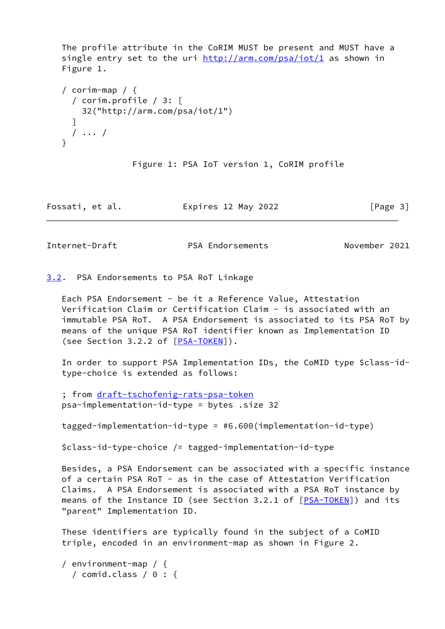The profile attribute in the CoRIM MUST be present and MUST have a single entry set to the uri <http://arm.com/psa/iot/1>as shown in Figure 1.

```
 / corim-map / {
  / corim.profile / 3: [
     32("http://arm.com/psa/iot/1")
   ]
  / ... /
 }
```
Figure 1: PSA IoT version 1, CoRIM profile

Fossati, et al. Expires 12 May 2022 [Page 3]

<span id="page-3-1"></span>Internet-Draft PSA Endorsements November 2021

<span id="page-3-0"></span>[3.2](#page-3-0). PSA Endorsements to PSA RoT Linkage

 Each PSA Endorsement - be it a Reference Value, Attestation Verification Claim or Certification Claim - is associated with an immutable PSA RoT. A PSA Endorsement is associated to its PSA RoT by means of the unique PSA RoT identifier known as Implementation ID (see Section 3.2.2 of [[PSA-TOKEN\]](#page-17-1)).

 In order to support PSA Implementation IDs, the CoMID type \$class-id type-choice is extended as follows:

 ; from [draft-tschofenig-rats-psa-token](https://datatracker.ietf.org/doc/pdf/draft-tschofenig-rats-psa-token) psa-implementation-id-type = bytes .size 32

tagged-implementation-id-type = #6.600(implementation-id-type)

\$class-id-type-choice /= tagged-implementation-id-type

 Besides, a PSA Endorsement can be associated with a specific instance of a certain PSA RoT - as in the case of Attestation Verification Claims. A PSA Endorsement is associated with a PSA RoT instance by means of the Instance ID (see Section 3.2.1 of [\[PSA-TOKEN](#page-17-1)]) and its "parent" Implementation ID.

 These identifiers are typically found in the subject of a CoMID triple, encoded in an environment-map as shown in Figure 2.

 / environment-map / { / comid.class /  $0:$  {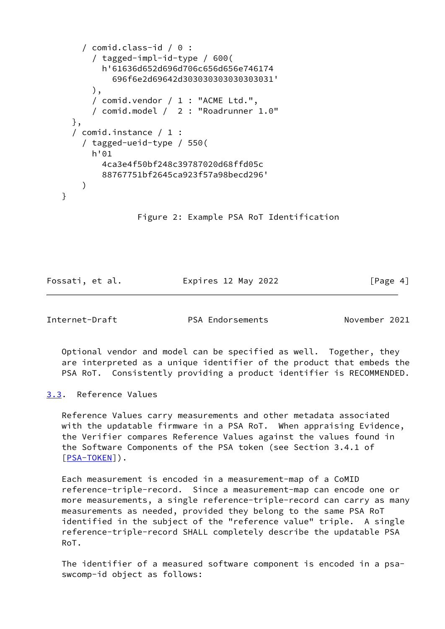```
 / comid.class-id / 0 :
       / tagged-impl-id-type / 600(
         h'61636d652d696d706c656d656e746174
           696f6e2d69642d303030303030303031'
       ),
       / comid.vendor / 1 : "ACME Ltd.",
       / comid.model / 2 : "Roadrunner 1.0"
   },
   / comid.instance / 1 :
     / tagged-ueid-type / 550(
       h'01
         4ca3e4f50bf248c39787020d68ffd05c
         88767751bf2645ca923f57a98becd296'
     )
 }
```
Figure 2: Example PSA RoT Identification

Fossati, et al. Expires 12 May 2022 [Page 4]

<span id="page-4-1"></span>Internet-Draft PSA Endorsements November 2021

 Optional vendor and model can be specified as well. Together, they are interpreted as a unique identifier of the product that embeds the PSA RoT. Consistently providing a product identifier is RECOMMENDED.

<span id="page-4-0"></span>[3.3](#page-4-0). Reference Values

 Reference Values carry measurements and other metadata associated with the updatable firmware in a PSA RoT. When appraising Evidence, the Verifier compares Reference Values against the values found in the Software Components of the PSA token (see Section 3.4.1 of [\[PSA-TOKEN](#page-17-1)]).

 Each measurement is encoded in a measurement-map of a CoMID reference-triple-record. Since a measurement-map can encode one or more measurements, a single reference-triple-record can carry as many measurements as needed, provided they belong to the same PSA RoT identified in the subject of the "reference value" triple. A single reference-triple-record SHALL completely describe the updatable PSA RoT.

 The identifier of a measured software component is encoded in a psa swcomp-id object as follows: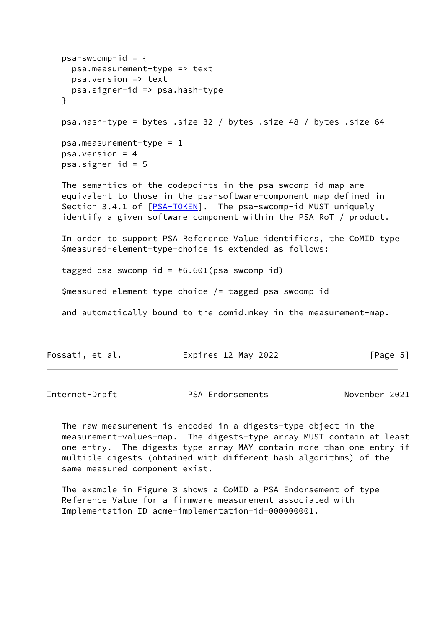```
psa-swcomp-id = { psa.measurement-type => text
   psa.version => text
  psa.signer-id => psa.hash-type
 }
 psa.hash-type = bytes .size 32 / bytes .size 48 / bytes .size 64
 psa.measurement-type = 1
 psa.version = 4
psa.signer-id = 5 The semantics of the codepoints in the psa-swcomp-id map are
 equivalent to those in the psa-software-component map defined in
 Section 3.4.1 of [PSA-TOKEN]. The psa-swcomp-id MUST uniquely
 identify a given software component within the PSA RoT / product.
 In order to support PSA Reference Value identifiers, the CoMID type
 $measured-element-type-choice is extended as follows:
 tagged-psa-swcomp-id = #6.601(psa-swcomp-id)
 $measured-element-type-choice /= tagged-psa-swcomp-id
 and automatically bound to the comid.mkey in the measurement-map.
```

| [Page 5]<br>Expires 12 May 2022<br>Fossati, et al. |  |
|----------------------------------------------------|--|
|----------------------------------------------------|--|

Internet-Draft PSA Endorsements November 2021

 The raw measurement is encoded in a digests-type object in the measurement-values-map. The digests-type array MUST contain at least one entry. The digests-type array MAY contain more than one entry if multiple digests (obtained with different hash algorithms) of the same measured component exist.

 The example in Figure 3 shows a CoMID a PSA Endorsement of type Reference Value for a firmware measurement associated with Implementation ID acme-implementation-id-000000001.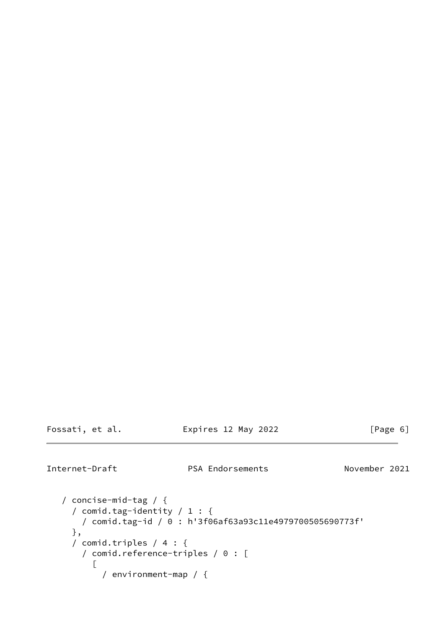| Fossati, |  | et al. |
|----------|--|--------|
|----------|--|--------|

## Expires 12 May 2022 [Page 6]

```
Internet-Draft PSA Endorsements November 2021
```

```
 / concise-mid-tag / {
   / comid.tag-identity / 1 : {
     / comid.tag-id / 0 : h'3f06af63a93c11e4979700505690773f'
   },
   / comid.triples / 4 : {
     / comid.reference-triples / 0 : [
      \lceil / environment-map / {
```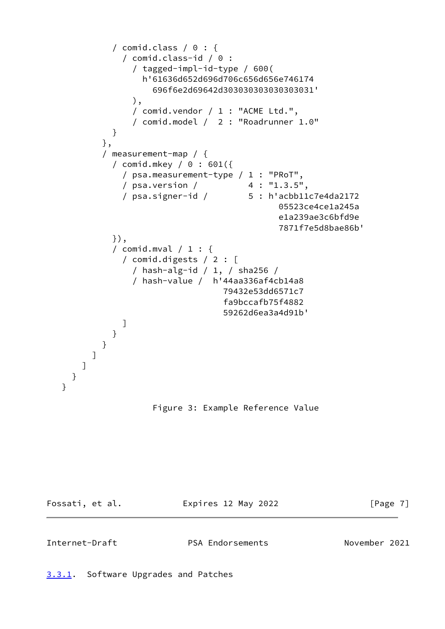```
 / comid.class / 0 : {
               / comid.class-id / 0 :
                 / tagged-impl-id-type / 600(
                   h'61636d652d696d706c656d656e746174
                     696f6e2d69642d303030303030303031'
                 ),
                 / comid.vendor / 1 : "ACME Ltd.",
                 / comid.model / 2 : "Roadrunner 1.0"
 }
           },
           / measurement-map / {
             / comid.mkey / 0 : 601({
               / psa.measurement-type / 1 : "PRoT",
               / psa.version / 4 : "1.3.5",
               / psa.signer-id / 5 : h'acbb11c7e4da2172
                                             05523ce4ce1a245a
                                              e1a239ae3c6bfd9e
                                              7871f7e5d8bae86b'
             }),
             / comid.mval / 1 : {
               / comid.digests / 2 : [
                 / hash-alg-id / 1, / sha256 /
                 / hash-value / h'44aa336af4cb14a8
                                   79432e53dd6571c7
                                   fa9bccafb75f4882
                                   59262d6ea3a4d91b'
 ]
             }
          }
         ]
       ]
     }
```
Figure 3: Example Reference Value

}

Fossati, et al. Expires 12 May 2022 [Page 7]

<span id="page-7-0"></span>

<span id="page-7-1"></span>Internet-Draft PSA Endorsements November 2021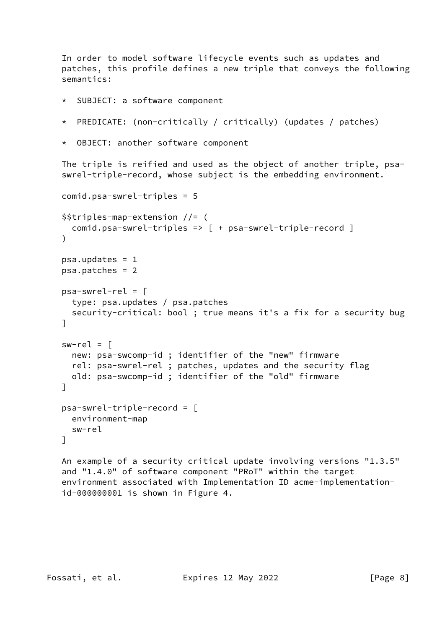In order to model software lifecycle events such as updates and patches, this profile defines a new triple that conveys the following semantics:

SUBJECT: a software component

```
 * PREDICATE: (non-critically / critically) (updates / patches)
```
\* OBJECT: another software component

 The triple is reified and used as the object of another triple, psa swrel-triple-record, whose subject is the embedding environment.

```
 comid.psa-swrel-triples = 5
 $$triples-map-extension //= (
   comid.psa-swrel-triples => [ + psa-swrel-triple-record ]
 )
psa.updates = 1 psa.patches = 2
 psa-swrel-rel = [
   type: psa.updates / psa.patches
   security-critical: bool ; true means it's a fix for a security bug
 ]
sw-rel = [ new: psa-swcomp-id ; identifier of the "new" firmware
   rel: psa-swrel-rel ; patches, updates and the security flag
   old: psa-swcomp-id ; identifier of the "old" firmware
 ]
 psa-swrel-triple-record = [
   environment-map
   sw-rel
 ]
```
 An example of a security critical update involving versions "1.3.5" and "1.4.0" of software component "PRoT" within the target environment associated with Implementation ID acme-implementation id-000000001 is shown in Figure 4.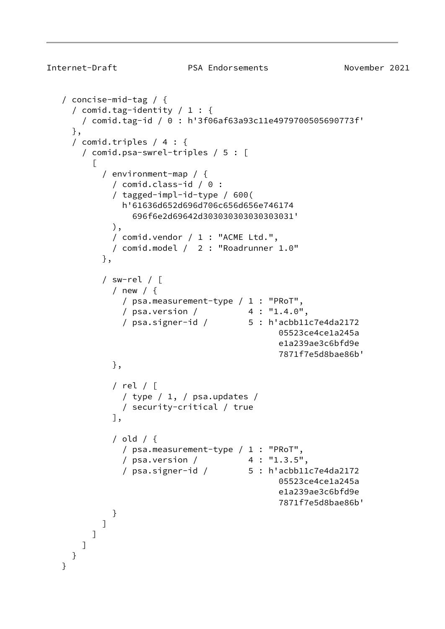```
Internet-Draft PSA Endorsements November 2021
    / concise-mid-tag / {
     / comid.tag-identity / 1 : {
       / comid.tag-id / 0 : h'3f06af63a93c11e4979700505690773f'
     },
     / comid.triples / 4 : {
       / comid.psa-swrel-triples / 5 : [
\Box / environment-map / {
             / comid.class-id / 0 :
             / tagged-impl-id-type / 600(
               h'61636d652d696d706c656d656e746174
                 696f6e2d69642d303030303030303031'
             ),
             / comid.vendor / 1 : "ACME Ltd.",
             / comid.model / 2 : "Roadrunner 1.0"
           },
           / sw-rel / [
             / new / {
               / psa.measurement-type / 1 : "PRoT",
               / psa.version / 4 : "1.4.0",
               / psa.signer-id / 5 : h'acbb11c7e4da2172
                                             05523ce4ce1a245a
                                             e1a239ae3c6bfd9e
                                             7871f7e5d8bae86b'
             },
             / rel / [
               / type / 1, / psa.updates /
               / security-critical / true
             ],
             / old / {
              / psa.measurement-type / 1 : "PRoT",
               / psa.version / 4 : "1.3.5",
               / psa.signer-id / 5 : h'acbb11c7e4da2172
                                             05523ce4ce1a245a
                                             e1a239ae3c6bfd9e
                                             7871f7e5d8bae86b'
 }
 ]
         ]
       ]
     }
    }
```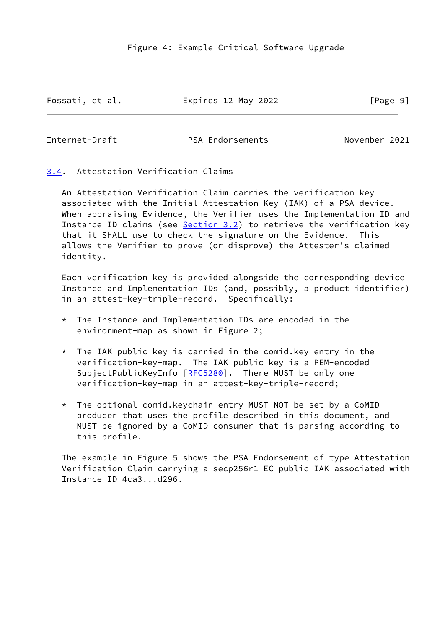Fossati, et al. Expires 12 May 2022 [Page 9]

<span id="page-10-1"></span>

Internet-Draft PSA Endorsements November 2021

<span id="page-10-0"></span>[3.4](#page-10-0). Attestation Verification Claims

 An Attestation Verification Claim carries the verification key associated with the Initial Attestation Key (IAK) of a PSA device. When appraising Evidence, the Verifier uses the Implementation ID and Instance ID claims (see [Section 3.2](#page-3-0)) to retrieve the verification key that it SHALL use to check the signature on the Evidence. This allows the Verifier to prove (or disprove) the Attester's claimed identity.

 Each verification key is provided alongside the corresponding device Instance and Implementation IDs (and, possibly, a product identifier) in an attest-key-triple-record. Specifically:

- $*$  The Instance and Implementation IDs are encoded in the environment-map as shown in Figure 2;
- $*$  The IAK public key is carried in the comid.key entry in the verification-key-map. The IAK public key is a PEM-encoded SubjectPublicKeyInfo [\[RFC5280](https://datatracker.ietf.org/doc/pdf/rfc5280)]. There MUST be only one verification-key-map in an attest-key-triple-record;
- \* The optional comid.keychain entry MUST NOT be set by a CoMID producer that uses the profile described in this document, and MUST be ignored by a CoMID consumer that is parsing according to this profile.

 The example in Figure 5 shows the PSA Endorsement of type Attestation Verification Claim carrying a secp256r1 EC public IAK associated with Instance ID 4ca3...d296.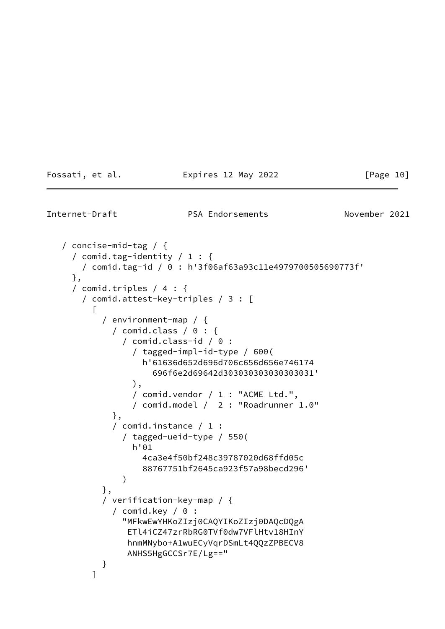Fossati, et al. Expires 12 May 2022 [Page 10]

Internet-Draft PSA Endorsements November 2021

```
 / concise-mid-tag / {
      / comid.tag-identity / 1 : {
        / comid.tag-id / 0 : h'3f06af63a93c11e4979700505690773f'
      },
      / comid.triples / 4 : {
        / comid.attest-key-triples / 3 : [
\Box / environment-map / {
              / comid.class / 0 : {
                / comid.class-id / 0 :
                  / tagged-impl-id-type / 600(
                    h'61636d652d696d706c656d656e746174
                       696f6e2d69642d303030303030303031'
                  ),
                  / comid.vendor / 1 : "ACME Ltd.",
                  / comid.model / 2 : "Roadrunner 1.0"
              },
              / comid.instance / 1 :
                / tagged-ueid-type / 550(
                  h'01
                    4ca3e4f50bf248c39787020d68ffd05c
                    88767751bf2645ca923f57a98becd296'
\overline{\phantom{a}} },
            / verification-key-map / {
              / comid.key / 0 :
                "MFkwEwYHKoZIzj0CAQYIKoZIzj0DAQcDQgA
                 ETl4iCZ47zrRbRG0TVf0dw7VFlHtv18HInY
                 hnmMNybo+A1wuECyVqrDSmLt4QQzZPBECV8
                 ANHS5HgGCCSr7E/Lg=="
            }
 ]
```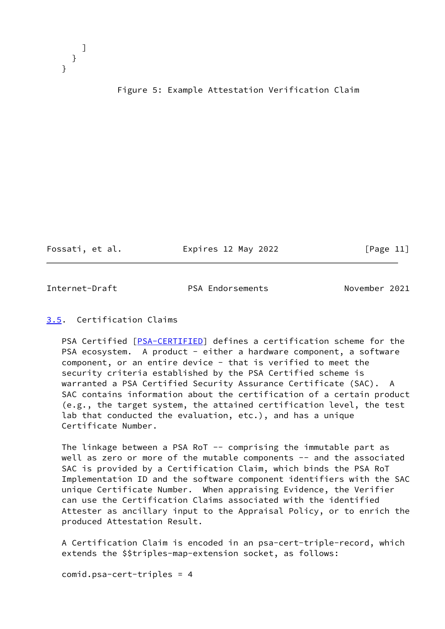

#### Figure 5: Example Attestation Verification Claim

Fossati, et al. Expires 12 May 2022 [Page 11]

<span id="page-12-1"></span>Internet-Draft PSA Endorsements November 2021

#### <span id="page-12-0"></span>[3.5](#page-12-0). Certification Claims

PSA Certified [[PSA-CERTIFIED\]](#page-17-3) defines a certification scheme for the PSA ecosystem. A product - either a hardware component, a software component, or an entire device - that is verified to meet the security criteria established by the PSA Certified scheme is warranted a PSA Certified Security Assurance Certificate (SAC). A SAC contains information about the certification of a certain product (e.g., the target system, the attained certification level, the test lab that conducted the evaluation, etc.), and has a unique Certificate Number.

The linkage between a PSA RoT  $-$  comprising the immutable part as well as zero or more of the mutable components -- and the associated SAC is provided by a Certification Claim, which binds the PSA RoT Implementation ID and the software component identifiers with the SAC unique Certificate Number. When appraising Evidence, the Verifier can use the Certification Claims associated with the identified Attester as ancillary input to the Appraisal Policy, or to enrich the produced Attestation Result.

 A Certification Claim is encoded in an psa-cert-triple-record, which extends the \$\$triples-map-extension socket, as follows:

comid.psa-cert-triples = 4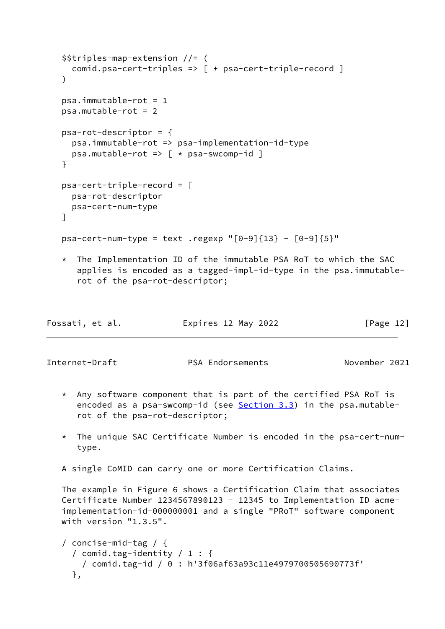```
 $$triples-map-extension //= (
        comid.psa-cert-triples => [ + psa-cert-triple-record ]
     )
    psa.\text{immutable-rot} = 1 psa.mutable-rot = 2
     psa-rot-descriptor = {
        psa.immutable-rot => psa-implementation-id-type
       psa.mutable-rot => \left[\right. \left. \left. \star \right. \left. \right. \left. \right. \left. \right. \right. \left. \left. \star \right. \left. \right. \left. \left. \right. \left. \right. \left. \right. \left. \right. \left. \right. \right. \left. \left. \right. \left. \right. \left. \star \right. \left. \right. \left. \right. \left. \left. \right. \left. \right. \left. \right. \right. \left. \right. \left. \right. \left. \right. \left. \right. \left. \right. \left. \right. \left. \right. \left. \right. \left. \ }
     psa-cert-triple-record = [
        psa-rot-descriptor
        psa-cert-num-type
     ]
    psa-cert-num-type = text .regexp "[0-9]{13} - [0-9]{5}"
     * The Implementation ID of the immutable PSA RoT to which the SAC
         applies is encoded as a tagged-impl-id-type in the psa.immutable-
          rot of the psa-rot-descriptor;
Fossati, et al.                   Expires 12 May 2022                 [Page 12]
Internet-Draft PSA Endorsements November 2021
     * Any software component that is part of the certified PSA RoT is
         encoded as a psa-swcomp-id (see Section 3.3) in the psa.mutable-
         rot of the psa-rot-descriptor;
     * The unique SAC Certificate Number is encoded in the psa-cert-num-
         type.
     A single CoMID can carry one or more Certification Claims.
```
 The example in Figure 6 shows a Certification Claim that associates Certificate Number 1234567890123 - 12345 to Implementation ID acme implementation-id-000000001 and a single "PRoT" software component with version "1.3.5".

```
 / concise-mid-tag / {
   / comid.tag-identity / 1 : {
    / comid.tag-id / 0 : h'3f06af63a93c11e4979700505690773f'
  },
```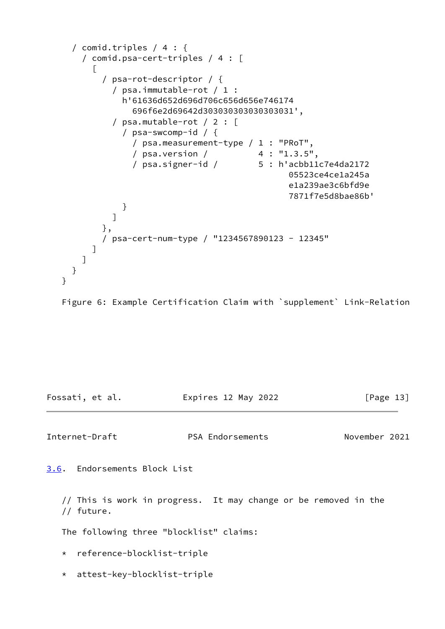```
 / comid.triples / 4 : {
       / comid.psa-cert-triples / 4 : [
\Box / psa-rot-descriptor / {
             / psa.immutable-rot / 1 :
               h'61636d652d696d706c656d656e746174
                 696f6e2d69642d303030303030303031',
             / psa.mutable-rot / 2 : [
               / psa-swcomp-id / {
                 / psa.measurement-type / 1 : "PRoT",
                 / psa.version / 4 : "1.3.5",
                 / psa.signer-id / 5 : h'acbb11c7e4da2172
                                               05523ce4ce1a245a
                                               e1a239ae3c6bfd9e
                                               7871f7e5d8bae86b'
 }
 ]
           },
           / psa-cert-num-type / "1234567890123 - 12345"
         ]
       ]
     }
   }
```
Figure 6: Example Certification Claim with `supplement` Link-Relation

Fossati, et al. Expires 12 May 2022 [Page 13]

<span id="page-14-1"></span>Internet-Draft PSA Endorsements November 2021

<span id="page-14-0"></span>[3.6](#page-14-0). Endorsements Block List

 // This is work in progress. It may change or be removed in the // future.

The following three "blocklist" claims:

\* reference-blocklist-triple

\* attest-key-blocklist-triple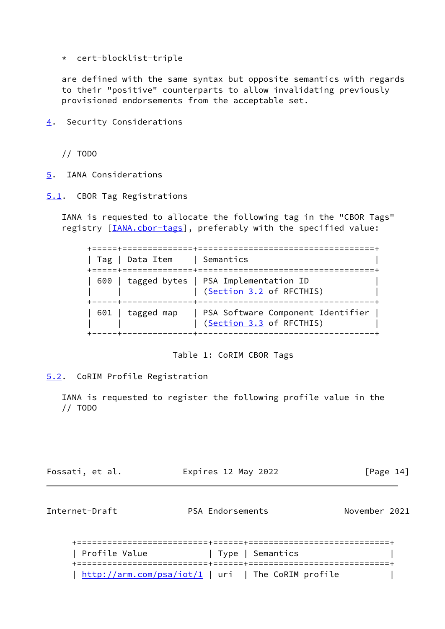\* cert-blocklist-triple

 are defined with the same syntax but opposite semantics with regards to their "positive" counterparts to allow invalidating previously provisioned endorsements from the acceptable set.

<span id="page-15-0"></span>[4](#page-15-0). Security Considerations

// TODO

- <span id="page-15-1"></span>[5](#page-15-1). IANA Considerations
- <span id="page-15-2"></span>[5.1](#page-15-2). CBOR Tag Registrations

 IANA is requested to allocate the following tag in the "CBOR Tags" registry [*IANA.cbor-tags*], preferably with the specified value:

|  | Tag   Data Item  | Semantics<br>,,,,,,,,,,,,,,,,,                                         |
|--|------------------|------------------------------------------------------------------------|
|  |                  | 600   tagged bytes   PSA Implementation ID<br>(Section 3.2 of RFCTHIS) |
|  | 601   tagged map | PSA Software Component Identifier<br>(Section 3.3 of RFCTHIS)          |

Table 1: CoRIM CBOR Tags

<span id="page-15-3"></span>[5.2](#page-15-3). CoRIM Profile Registration

 IANA is requested to register the following profile value in the // TODO

Fossati, et al. Expires 12 May 2022 [Page 14]

<span id="page-15-4"></span>Internet-Draft PSA Endorsements November 2021

| Profile Value | Type   Semantics                                   |
|---------------|----------------------------------------------------|
|               |                                                    |
|               | http://arm.com/psa/iot/1   uri   The CoRIM profile |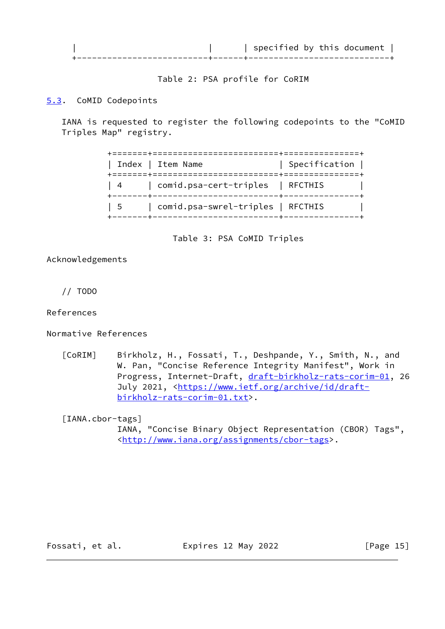

Table 2: PSA profile for CoRIM

# <span id="page-16-0"></span>[5.3](#page-16-0). CoMID Codepoints

 IANA is requested to register the following codepoints to the "CoMID Triples Map" registry.

|           | Index   Item Name                                                              | Specification $ $ |  |
|-----------|--------------------------------------------------------------------------------|-------------------|--|
|           | 4   comid.psa-cert-triples   RFCTHIS<br>----+--------------------------+------ |                   |  |
| $1\quad5$ | comid.psa-swrel-triples   RFCTHIS                                              |                   |  |

Table 3: PSA CoMID Triples

Acknowledgements

// TODO

References

Normative References

<span id="page-16-1"></span> [CoRIM] Birkholz, H., Fossati, T., Deshpande, Y., Smith, N., and W. Pan, "Concise Reference Integrity Manifest", Work in Progress, Internet-Draft, [draft-birkholz-rats-corim-01](https://datatracker.ietf.org/doc/pdf/draft-birkholz-rats-corim-01), 26 July 2021, <[https://www.ietf.org/archive/id/draft](https://www.ietf.org/archive/id/draft-birkholz-rats-corim-01.txt) [birkholz-rats-corim-01.txt>](https://www.ietf.org/archive/id/draft-birkholz-rats-corim-01.txt).

<span id="page-16-2"></span> [IANA.cbor-tags] IANA, "Concise Binary Object Representation (CBOR) Tags", <[http://www.iana.org/assignments/cbor-tags>](http://www.iana.org/assignments/cbor-tags).

Fossati, et al. **Expires 12 May 2022** [Page 15]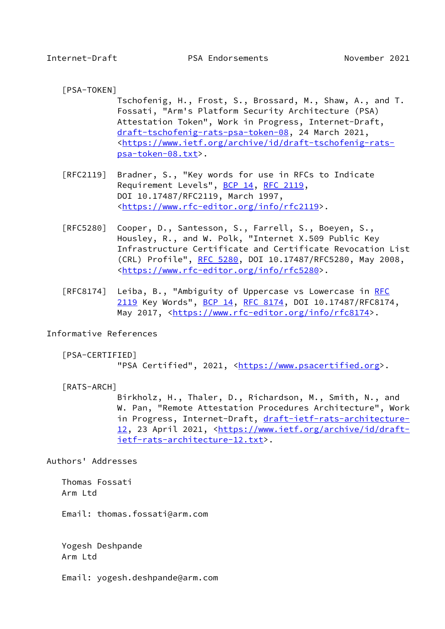- <span id="page-17-1"></span><span id="page-17-0"></span> [PSA-TOKEN] Tschofenig, H., Frost, S., Brossard, M., Shaw, A., and T. Fossati, "Arm's Platform Security Architecture (PSA) Attestation Token", Work in Progress, Internet-Draft, [draft-tschofenig-rats-psa-token-08,](https://datatracker.ietf.org/doc/pdf/draft-tschofenig-rats-psa-token-08) 24 March 2021, <[https://www.ietf.org/archive/id/draft-tschofenig-rats](https://www.ietf.org/archive/id/draft-tschofenig-rats-psa-token-08.txt) [psa-token-08.txt>](https://www.ietf.org/archive/id/draft-tschofenig-rats-psa-token-08.txt).
- [RFC2119] Bradner, S., "Key words for use in RFCs to Indicate Requirement Levels", [BCP 14](https://datatracker.ietf.org/doc/pdf/bcp14), [RFC 2119](https://datatracker.ietf.org/doc/pdf/rfc2119), DOI 10.17487/RFC2119, March 1997, <[https://www.rfc-editor.org/info/rfc2119>](https://www.rfc-editor.org/info/rfc2119).
- [RFC5280] Cooper, D., Santesson, S., Farrell, S., Boeyen, S., Housley, R., and W. Polk, "Internet X.509 Public Key Infrastructure Certificate and Certificate Revocation List (CRL) Profile", [RFC 5280,](https://datatracker.ietf.org/doc/pdf/rfc5280) DOI 10.17487/RFC5280, May 2008, <[https://www.rfc-editor.org/info/rfc5280>](https://www.rfc-editor.org/info/rfc5280).
- [RFC8174] Leiba, B., "Ambiguity of Uppercase vs Lowercase in [RFC](https://datatracker.ietf.org/doc/pdf/rfc2119) [2119](https://datatracker.ietf.org/doc/pdf/rfc2119) Key Words", [BCP 14](https://datatracker.ietf.org/doc/pdf/bcp14), [RFC 8174,](https://datatracker.ietf.org/doc/pdf/rfc8174) DOI 10.17487/RFC8174, May 2017, [<https://www.rfc-editor.org/info/rfc8174](https://www.rfc-editor.org/info/rfc8174)>.

Informative References

<span id="page-17-3"></span>[PSA-CERTIFIED]

"PSA Certified", 2021, <[https://www.psacertified.org>](https://www.psacertified.org).

<span id="page-17-2"></span>[RATS-ARCH]

 Birkholz, H., Thaler, D., Richardson, M., Smith, N., and W. Pan, "Remote Attestation Procedures Architecture", Work in Progress, Internet-Draft, [draft-ietf-rats-architecture-](https://datatracker.ietf.org/doc/pdf/draft-ietf-rats-architecture-12) [12,](https://datatracker.ietf.org/doc/pdf/draft-ietf-rats-architecture-12) 23 April 2021, <[https://www.ietf.org/archive/id/draft](https://www.ietf.org/archive/id/draft-ietf-rats-architecture-12.txt) [ietf-rats-architecture-12.txt>](https://www.ietf.org/archive/id/draft-ietf-rats-architecture-12.txt).

Authors' Addresses

 Thomas Fossati Arm Ltd

Email: thomas.fossati@arm.com

 Yogesh Deshpande Arm Ltd

Email: yogesh.deshpande@arm.com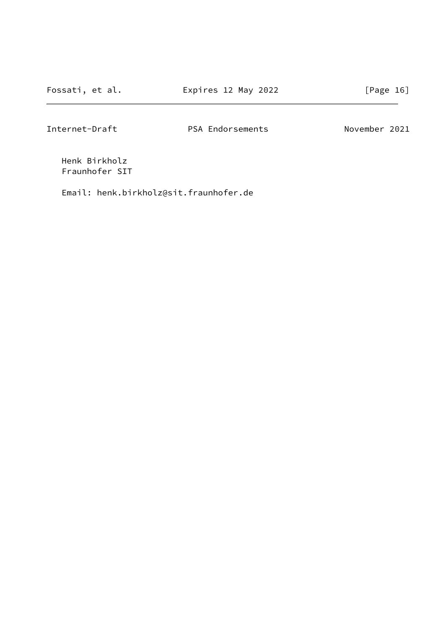Internet-Draft PSA Endorsements November 2021

 Henk Birkholz Fraunhofer SIT

Email: henk.birkholz@sit.fraunhofer.de